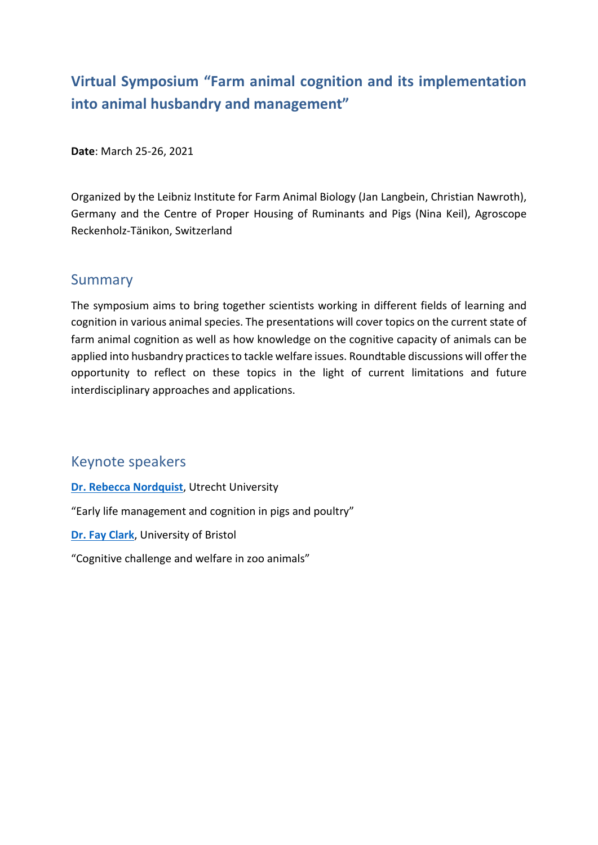# **Virtual Symposium "Farm animal cognition and its implementation into animal husbandry and management"**

**Date**: March 25-26, 2021

Organized by the Leibniz Institute for Farm Animal Biology (Jan Langbein, Christian Nawroth), Germany and the Centre of Proper Housing of Ruminants and Pigs (Nina Keil), Agroscope Reckenholz-Tänikon, Switzerland

### Summary

The symposium aims to bring together scientists working in different fields of learning and cognition in various animal species. The presentations will cover topics on the current state of farm animal cognition as well as how knowledge on the cognitive capacity of animals can be applied into husbandry practices to tackle welfare issues. Roundtable discussions will offer the opportunity to reflect on these topics in the light of current limitations and future interdisciplinary approaches and applications.

### Keynote speakers

**[Dr. Rebecca Nordquist](https://www.researchgate.net/search/researcher?q=Rebecca%2BNordquist)**, Utrecht University

"Early life management and cognition in pigs and poultry"

**[Dr. Fay Clark](https://www.researchgate.net/profile/Fay_Clark)**, University of Bristol

"Cognitive challenge and welfare in zoo animals"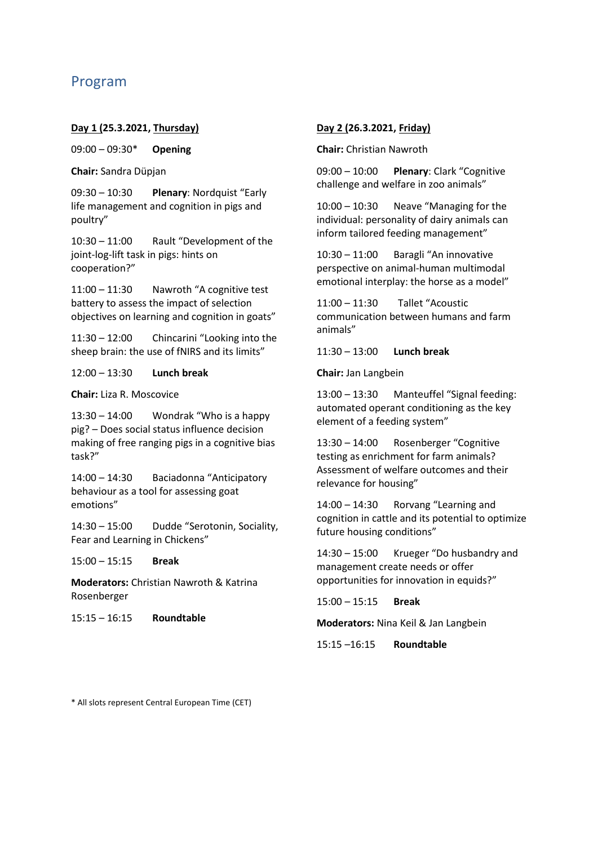### Program

#### **Day 1 (25.3.2021, Thursday)**

09:00 – 09:30\* **Opening**

**Chair:** Sandra Düpjan

09:30 – 10:30 **Plenary**: Nordquist "Early life management and cognition in pigs and poultry"

10:30 – 11:00 Rault "Development of the joint-log-lift task in pigs: hints on cooperation?"

11:00 – 11:30 Nawroth "A cognitive test battery to assess the impact of selection objectives on learning and cognition in goats"

11:30 – 12:00 Chincarini "Looking into the sheep brain: the use of fNIRS and its limits"

12:00 – 13:30 **Lunch break**

**Chair:** Liza R. Moscovice

13:30 – 14:00 Wondrak "Who is a happy pig? – Does social status influence decision making of free ranging pigs in a cognitive bias task?"

14:00 – 14:30 Baciadonna "Anticipatory behaviour as a tool for assessing goat emotions"

14:30 – 15:00 Dudde "Serotonin, Sociality, Fear and Learning in Chickens"

15:00 – 15:15 **Break**

**Moderators:** Christian Nawroth & Katrina Rosenberger

15:15 – 16:15 **Roundtable**

#### **Day 2 (26.3.2021, Friday)**

**Chair:** Christian Nawroth

09:00 – 10:00 **Plenary**: Clark "Cognitive challenge and welfare in zoo animals"

10:00 – 10:30 Neave "Managing for the individual: personality of dairy animals can inform tailored feeding management"

10:30 – 11:00 Baragli "An innovative perspective on animal-human multimodal emotional interplay: the horse as a model"

11:00 – 11:30 Tallet "Acoustic communication between humans and farm animals"

11:30 – 13:00 **Lunch break**

**Chair:** Jan Langbein

13:00 – 13:30 Manteuffel "Signal feeding: automated operant conditioning as the key element of a feeding system"

13:30 – 14:00 Rosenberger "Cognitive testing as enrichment for farm animals? Assessment of welfare outcomes and their relevance for housing"

14:00 – 14:30 Rorvang "Learning and cognition in cattle and its potential to optimize future housing conditions"

14:30 – 15:00 Krueger "Do husbandry and management create needs or offer opportunities for innovation in equids?"

15:00 – 15:15 **Break**

**Moderators:** Nina Keil & Jan Langbein

15:15 –16:15 **Roundtable**

\* All slots represent Central European Time (CET)